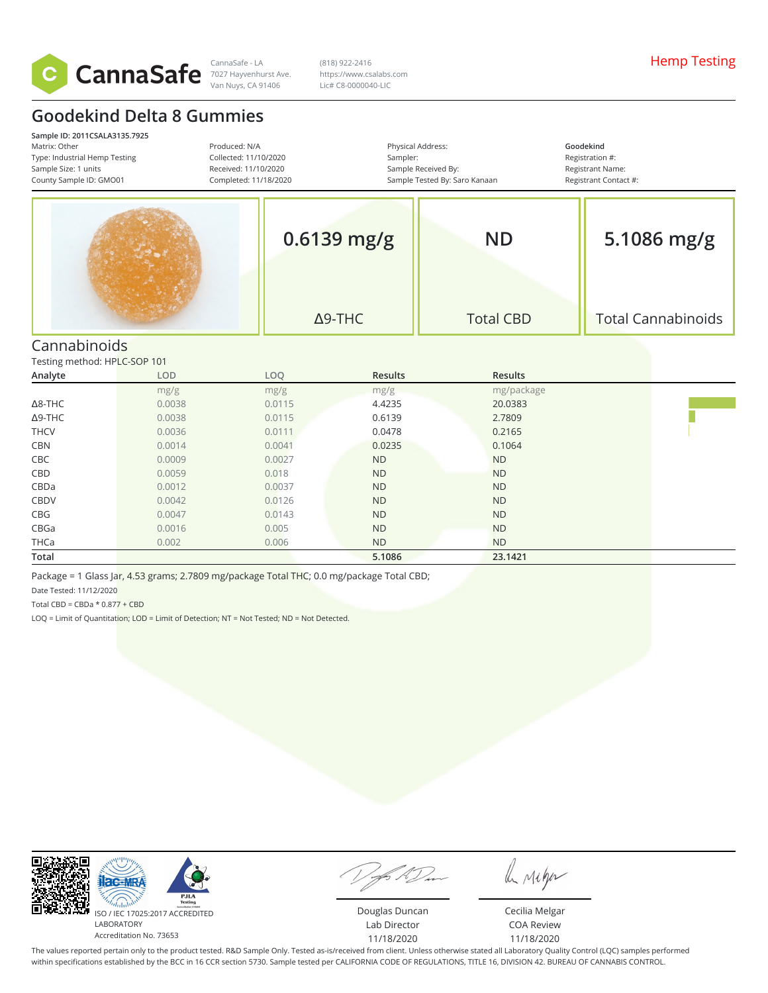

7027 Hayvenhurst Ave. Van Nuys, CA 91406

(818) 922-2416 https://www.csalabs.com Lic# C8-0000040-LIC

## **Goodekind Delta 8 Gummies**

| Sample ID: 2011CSALA3135.7925<br>Matrix: Other<br>Produced: N/A<br>Type: Industrial Hemp Testing<br>Collected: 11/10/2020<br>Sample Size: 1 units<br>Received: 11/10/2020<br>County Sample ID: GMO01<br>Completed: 11/18/2020 |  | Sampler:       | Physical Address:<br>Sample Received By:<br>Sample Tested By: Saro Kanaan | Goodekind<br>Registration #:<br>Registrant Name:<br>Registrant Contact #: |
|-------------------------------------------------------------------------------------------------------------------------------------------------------------------------------------------------------------------------------|--|----------------|---------------------------------------------------------------------------|---------------------------------------------------------------------------|
|                                                                                                                                                                                                                               |  | $0.6139$ mg/g  | <b>ND</b>                                                                 | 5.1086 mg/g                                                               |
|                                                                                                                                                                                                                               |  | $\Delta$ 9-THC | <b>Total CBD</b>                                                          | <b>Total Cannabinoids</b>                                                 |
| Cannabinoids                                                                                                                                                                                                                  |  |                |                                                                           |                                                                           |

Testing method: HPLC-SOP 101

| Analyte        | LOD    | LOQ    | Results   | Results    |  |
|----------------|--------|--------|-----------|------------|--|
|                | mg/g   | mg/g   | mg/g      | mg/package |  |
| $\Delta$ 8-THC | 0.0038 | 0.0115 | 4.4235    | 20.0383    |  |
| $\Delta$ 9-THC | 0.0038 | 0.0115 | 0.6139    | 2.7809     |  |
| <b>THCV</b>    | 0.0036 | 0.0111 | 0.0478    | 0.2165     |  |
| <b>CBN</b>     | 0.0014 | 0.0041 | 0.0235    | 0.1064     |  |
| CBC            | 0.0009 | 0.0027 | <b>ND</b> | <b>ND</b>  |  |
| CBD            | 0.0059 | 0.018  | <b>ND</b> | <b>ND</b>  |  |
| CBDa           | 0.0012 | 0.0037 | <b>ND</b> | <b>ND</b>  |  |
| CBDV           | 0.0042 | 0.0126 | <b>ND</b> | <b>ND</b>  |  |
| CBG            | 0.0047 | 0.0143 | <b>ND</b> | <b>ND</b>  |  |
| CBGa           | 0.0016 | 0.005  | <b>ND</b> | <b>ND</b>  |  |
| THCa           | 0.002  | 0.006  | <b>ND</b> | <b>ND</b>  |  |
| Total          |        |        | 5.1086    | 23.1421    |  |

Package = 1 Glass Jar, 4.53 grams; 2.7809 mg/package Total THC; 0.0 mg/package Total CBD;

Date Tested: 11/12/2020

Total CBD =  $CBDa * 0.877 + CBD$ 

LOQ = Limit of Quantitation; LOD = Limit of Detection; NT = Not Tested; ND = Not Detected.



be ruger

Douglas Duncan Lab Director 11/18/2020

Cecilia Melgar COA Review 11/18/2020

The values reported pertain only to the product tested. R&D Sample Only. Tested as-is/received from client. Unless otherwise stated all Laboratory Quality Control (LQC) samples performed within specifications established by the BCC in 16 CCR section 5730. Sample tested per CALIFORNIA CODE OF REGULATIONS, TITLE 16, DIVISION 42. BUREAU OF CANNABIS CONTROL.